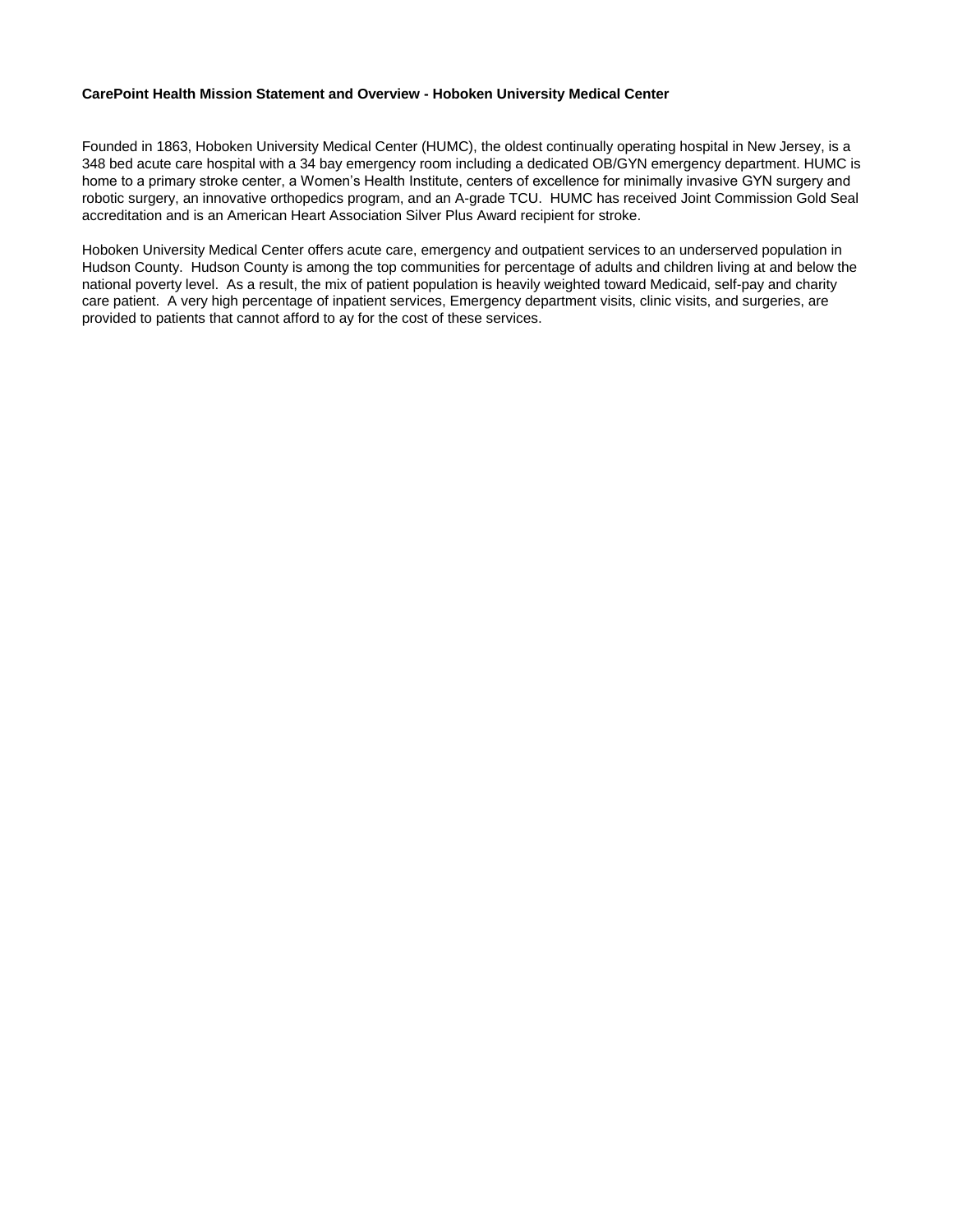### **CarePoint Health Mission Statement and Overview - Hoboken University Medical Center**

Founded in 1863, Hoboken University Medical Center (HUMC), the oldest continually operating hospital in New Jersey, is a 348 bed acute care hospital with a 34 bay emergency room including a dedicated OB/GYN emergency department. HUMC is home to a primary stroke center, a Women's Health Institute, centers of excellence for minimally invasive GYN surgery and robotic surgery, an innovative orthopedics program, and an A-grade TCU. HUMC has received Joint Commission Gold Seal accreditation and is an American Heart Association Silver Plus Award recipient for stroke.

Hoboken University Medical Center offers acute care, emergency and outpatient services to an underserved population in Hudson County. Hudson County is among the top communities for percentage of adults and children living at and below the national poverty level. As a result, the mix of patient population is heavily weighted toward Medicaid, self-pay and charity care patient. A very high percentage of inpatient services, Emergency department visits, clinic visits, and surgeries, are provided to patients that cannot afford to ay for the cost of these services.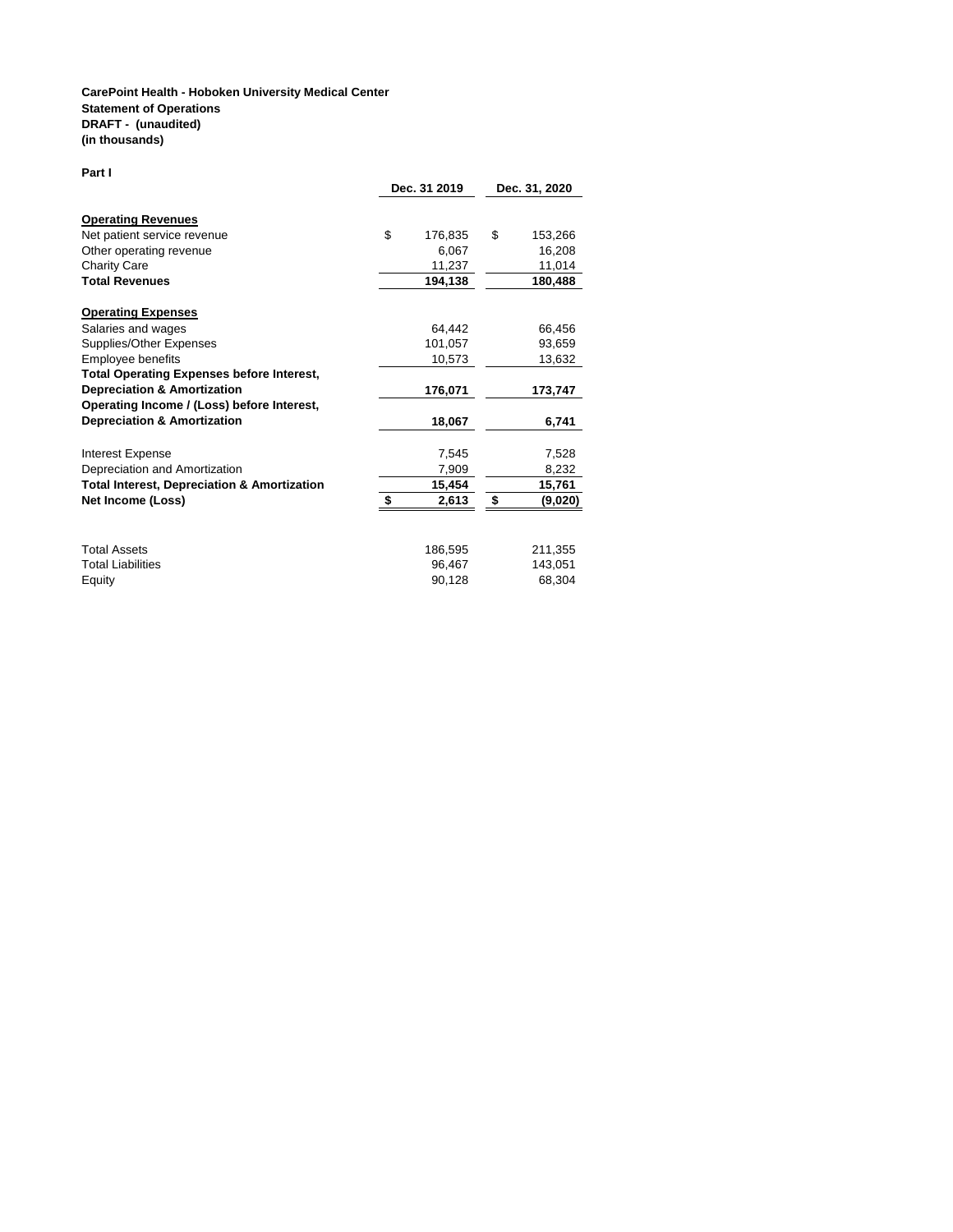#### **CarePoint Health - Hoboken University Medical Center Statement of Operations DRAFT - (unaudited) (in thousands)**

**Part I**

|                                                                                                                                     | Dec. 31 2019                                | Dec. 31, 2020 |                                        |  |
|-------------------------------------------------------------------------------------------------------------------------------------|---------------------------------------------|---------------|----------------------------------------|--|
| <b>Operating Revenues</b><br>Net patient service revenue<br>Other operating revenue<br><b>Charity Care</b><br><b>Total Revenues</b> | \$<br>176,835<br>6,067<br>11,237<br>194,138 | \$            | 153,266<br>16,208<br>11,014<br>180,488 |  |
| <b>Operating Expenses</b><br>Salaries and wages                                                                                     | 64,442                                      |               | 66,456                                 |  |
| Supplies/Other Expenses                                                                                                             | 101.057                                     |               | 93,659                                 |  |
| Employee benefits                                                                                                                   | 10,573                                      |               | 13,632                                 |  |
| <b>Total Operating Expenses before Interest,</b>                                                                                    |                                             |               |                                        |  |
| <b>Depreciation &amp; Amortization</b>                                                                                              | 176,071                                     |               | 173,747                                |  |
| Operating Income / (Loss) before Interest,                                                                                          |                                             |               |                                        |  |
| <b>Depreciation &amp; Amortization</b>                                                                                              | 18,067                                      |               | 6,741                                  |  |
| Interest Expense                                                                                                                    | 7,545                                       |               | 7,528                                  |  |
| Depreciation and Amortization                                                                                                       | 7,909                                       |               | 8,232                                  |  |
| <b>Total Interest, Depreciation &amp; Amortization</b>                                                                              | 15,454                                      |               | 15,761                                 |  |
| Net Income (Loss)                                                                                                                   | 2,613                                       | \$            | (9,020)                                |  |
| <b>Total Assets</b>                                                                                                                 | 186,595                                     |               | 211,355                                |  |
| <b>Total Liabilities</b>                                                                                                            | 96,467                                      |               | 143,051                                |  |
| Equity                                                                                                                              | 90,128                                      |               | 68,304                                 |  |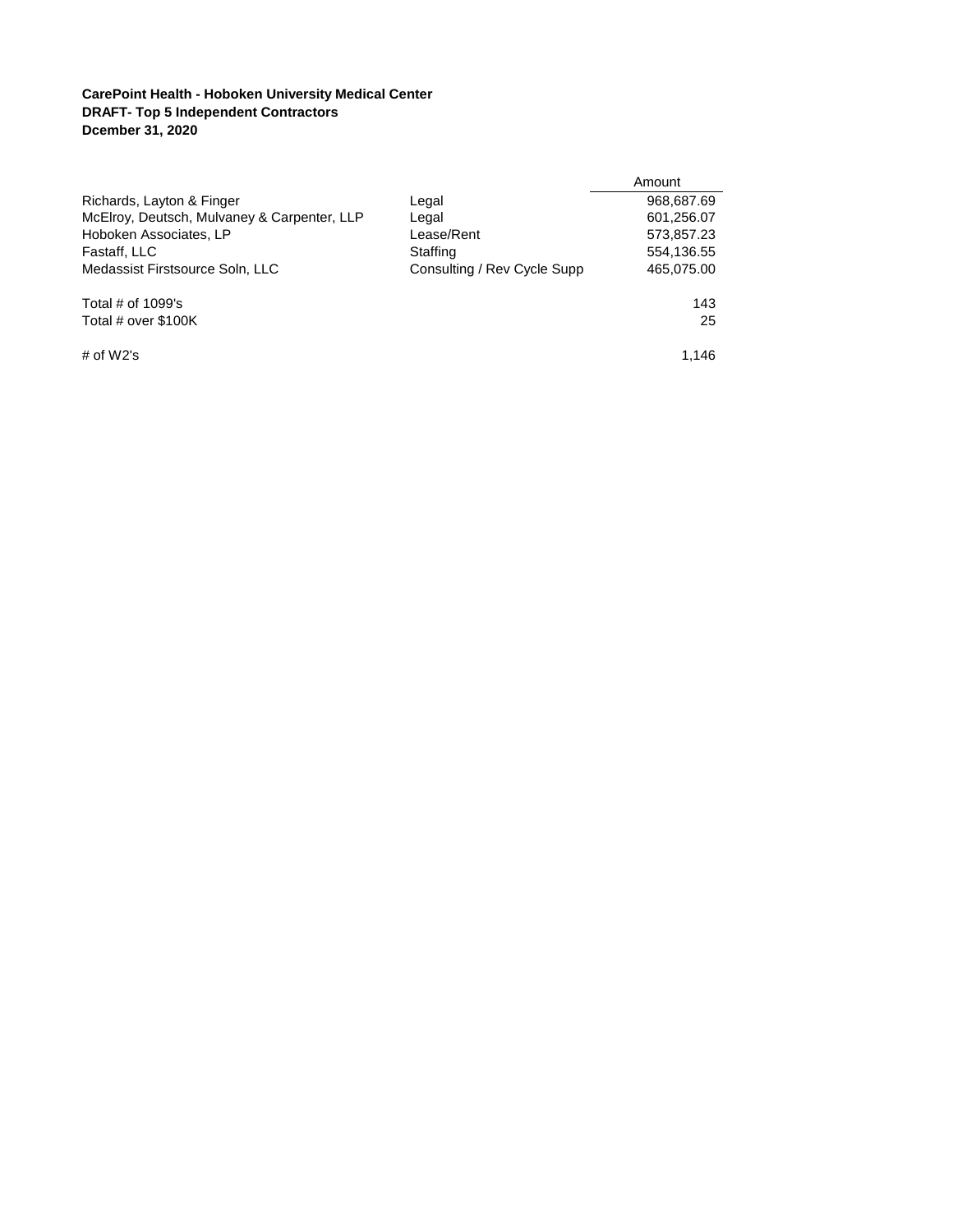## **CarePoint Health - Hoboken University Medical Center DRAFT- Top 5 Independent Contractors Dcember 31, 2020**

|                                             |                             | Amount     |
|---------------------------------------------|-----------------------------|------------|
| Richards, Layton & Finger                   | Legal                       | 968,687.69 |
| McElroy, Deutsch, Mulvaney & Carpenter, LLP | Legal                       | 601,256.07 |
| Hoboken Associates, LP                      | Lease/Rent                  | 573,857.23 |
| Fastaff, LLC                                | Staffing                    | 554,136.55 |
| Medassist Firstsource Soln, LLC             | Consulting / Rev Cycle Supp | 465,075.00 |
| Total $#$ of 1099's                         |                             | 143        |
| Total # over \$100K                         |                             | 25         |
| # of $W2's$                                 |                             | 1.146      |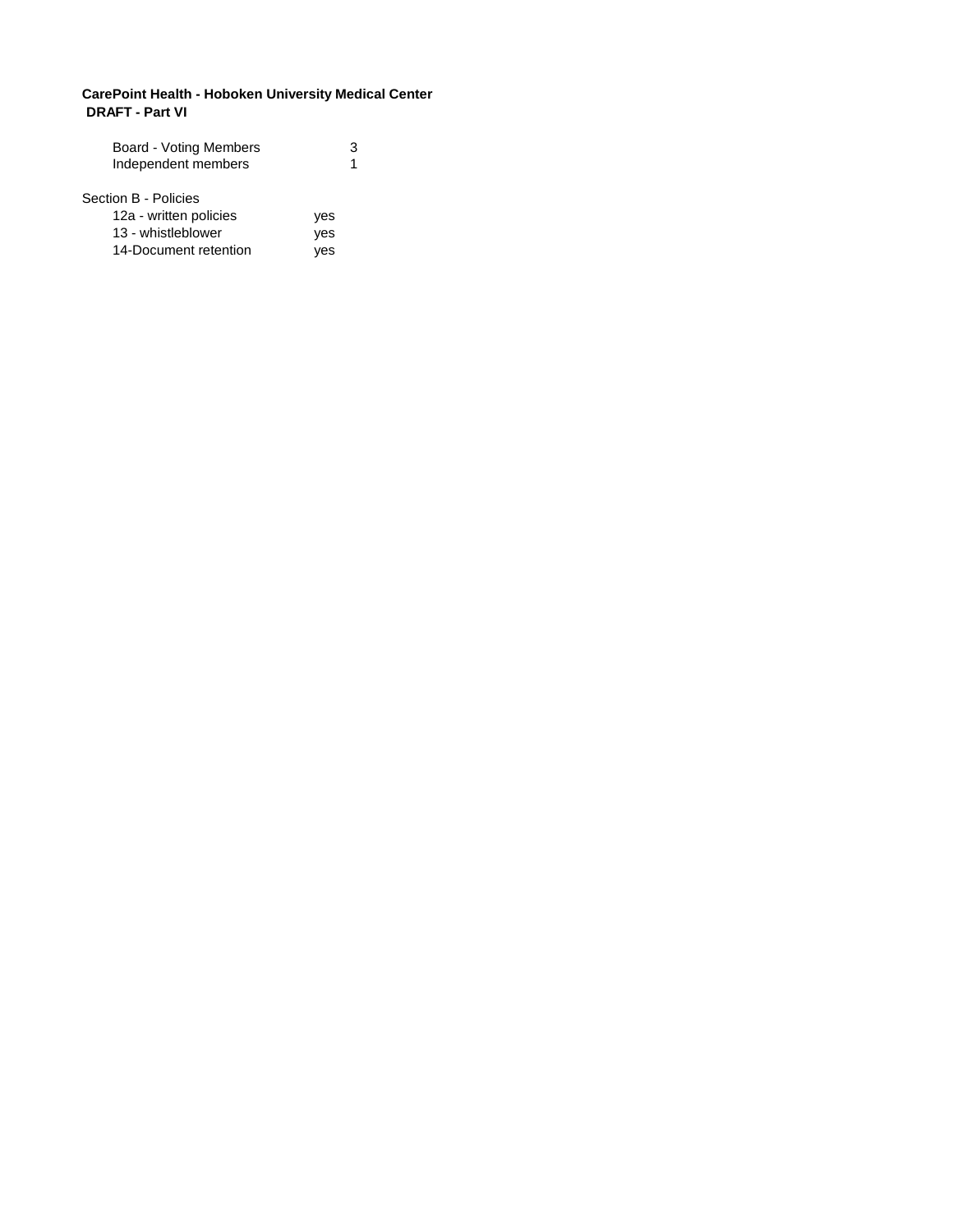### **CarePoint Health - Hoboken University Medical Center DRAFT - Part VI**

| ves |
|-----|
| ves |
| ves |
|     |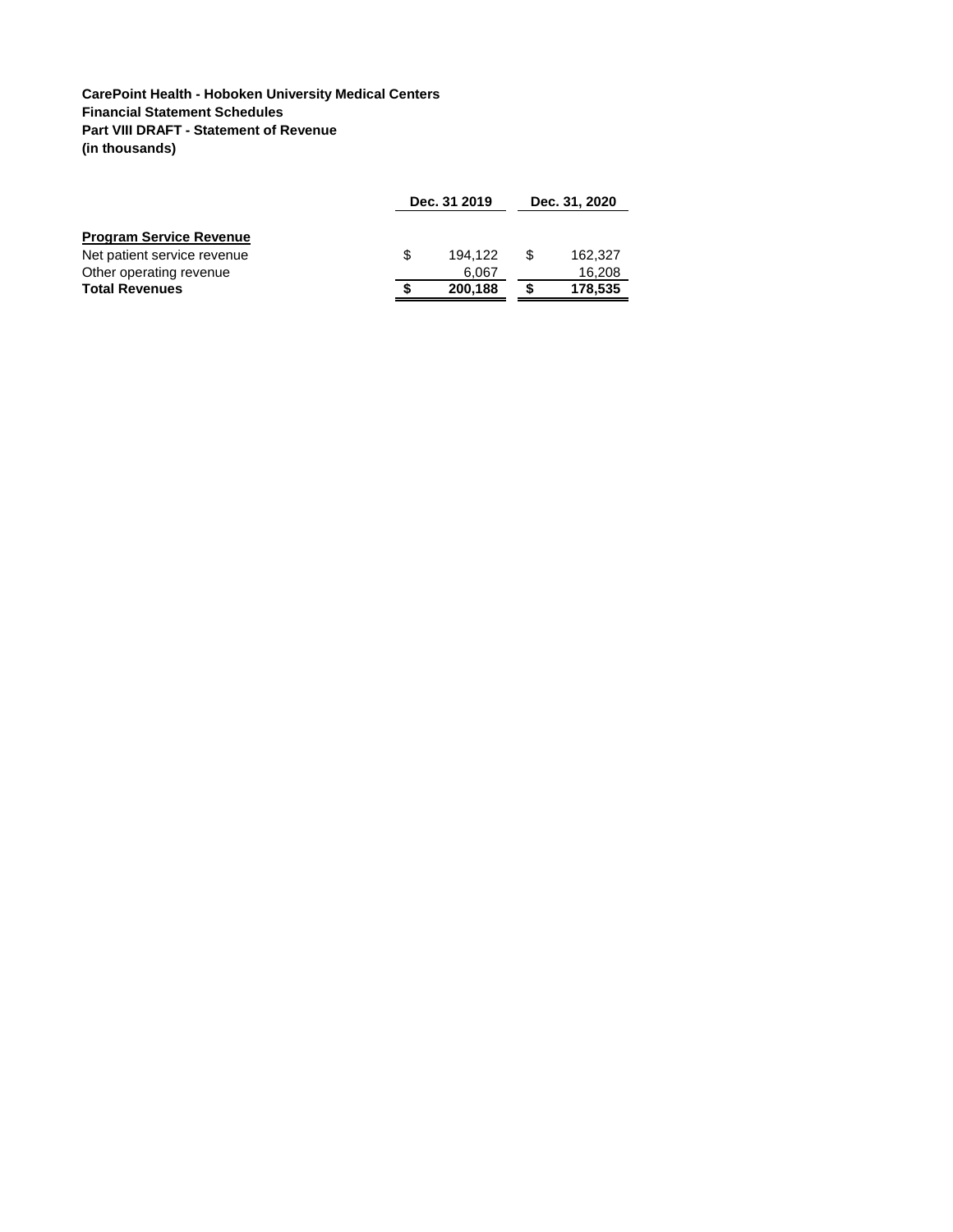**CarePoint Health - Hoboken University Medical Centers Financial Statement Schedules Part VIII DRAFT - Statement of Revenue (in thousands)**

|                                |     | Dec. 31 2019 |  |         |
|--------------------------------|-----|--------------|--|---------|
| <b>Program Service Revenue</b> |     |              |  |         |
| Net patient service revenue    | \$. | 194.122      |  | 162.327 |
| Other operating revenue        |     | 6.067        |  | 16,208  |
| <b>Total Revenues</b>          |     | 200,188      |  | 178,535 |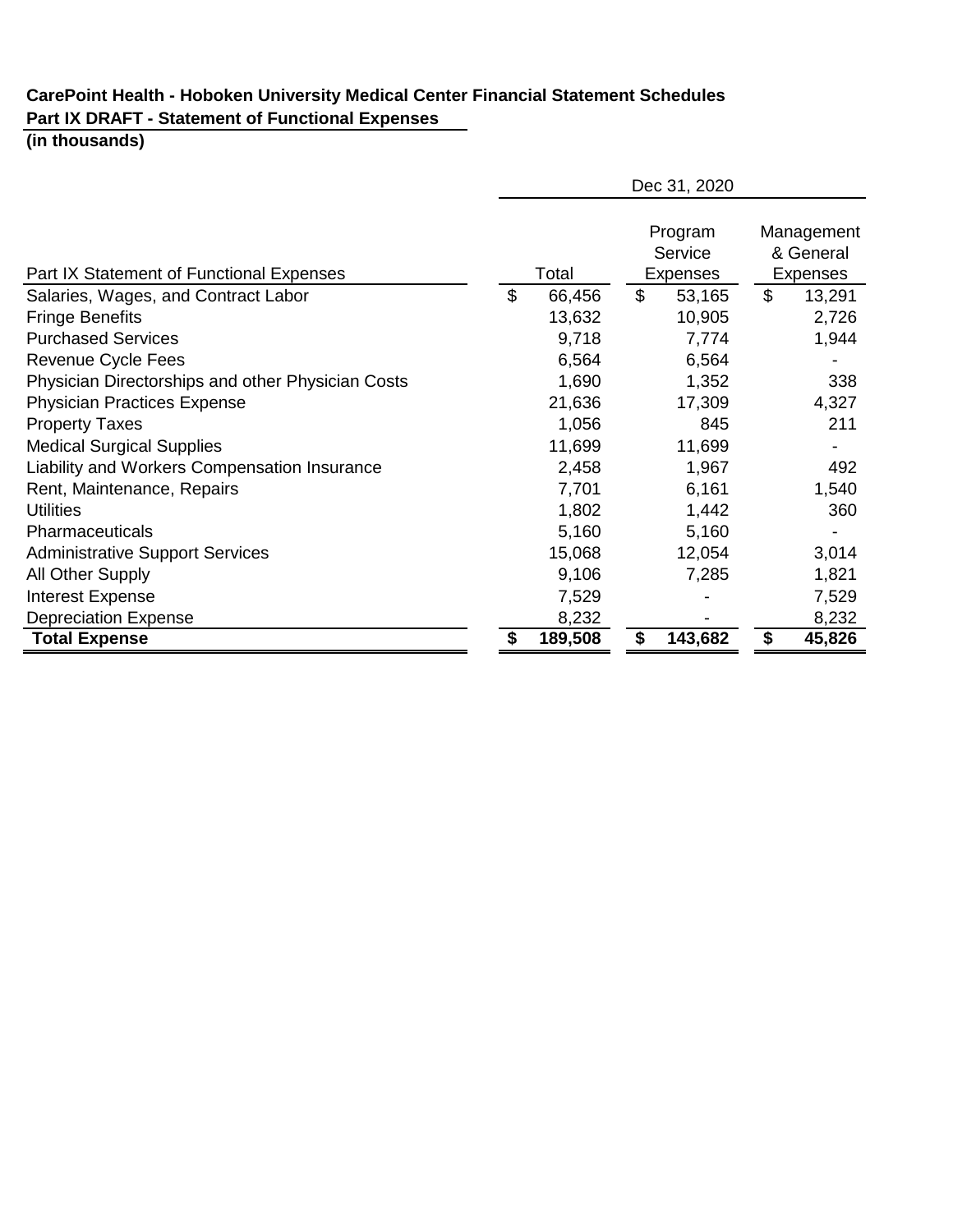# **CarePoint Health - Hoboken University Medical Center Financial Statement Schedules Part IX DRAFT - Statement of Functional Expenses**

# **(in thousands)**

|                                                   | Dec 31, 2020 |         |                |                                |                                     |        |
|---------------------------------------------------|--------------|---------|----------------|--------------------------------|-------------------------------------|--------|
| Part IX Statement of Functional Expenses          |              | Total   |                | Program<br>Service<br>Expenses | Management<br>& General<br>Expenses |        |
| Salaries, Wages, and Contract Labor               | \$           | 66,456  | $\mathfrak{L}$ | 53,165                         | \$                                  | 13,291 |
| <b>Fringe Benefits</b>                            |              | 13,632  |                | 10,905                         |                                     | 2,726  |
| <b>Purchased Services</b>                         |              | 9,718   |                | 7,774                          |                                     | 1,944  |
| Revenue Cycle Fees                                |              | 6,564   |                | 6,564                          |                                     |        |
| Physician Directorships and other Physician Costs |              | 1,690   |                | 1,352                          |                                     | 338    |
| <b>Physician Practices Expense</b>                |              | 21,636  |                | 17,309                         |                                     | 4,327  |
| <b>Property Taxes</b>                             |              | 1,056   |                | 845                            |                                     | 211    |
| <b>Medical Surgical Supplies</b>                  |              | 11,699  |                | 11,699                         |                                     |        |
| Liability and Workers Compensation Insurance      |              | 2,458   |                | 1,967                          |                                     | 492    |
| Rent, Maintenance, Repairs                        |              | 7,701   |                | 6,161                          |                                     | 1,540  |
| <b>Utilities</b>                                  |              | 1,802   |                | 1,442                          |                                     | 360    |
| Pharmaceuticals                                   |              | 5,160   |                | 5,160                          |                                     |        |
| <b>Administrative Support Services</b>            |              | 15,068  |                | 12,054                         |                                     | 3,014  |
| All Other Supply                                  |              | 9,106   |                | 7,285                          |                                     | 1,821  |
| <b>Interest Expense</b>                           |              | 7,529   |                |                                |                                     | 7,529  |
| <b>Depreciation Expense</b>                       |              | 8,232   |                |                                |                                     | 8,232  |
| <b>Total Expense</b>                              |              | 189,508 | \$             | 143,682                        | \$                                  | 45,826 |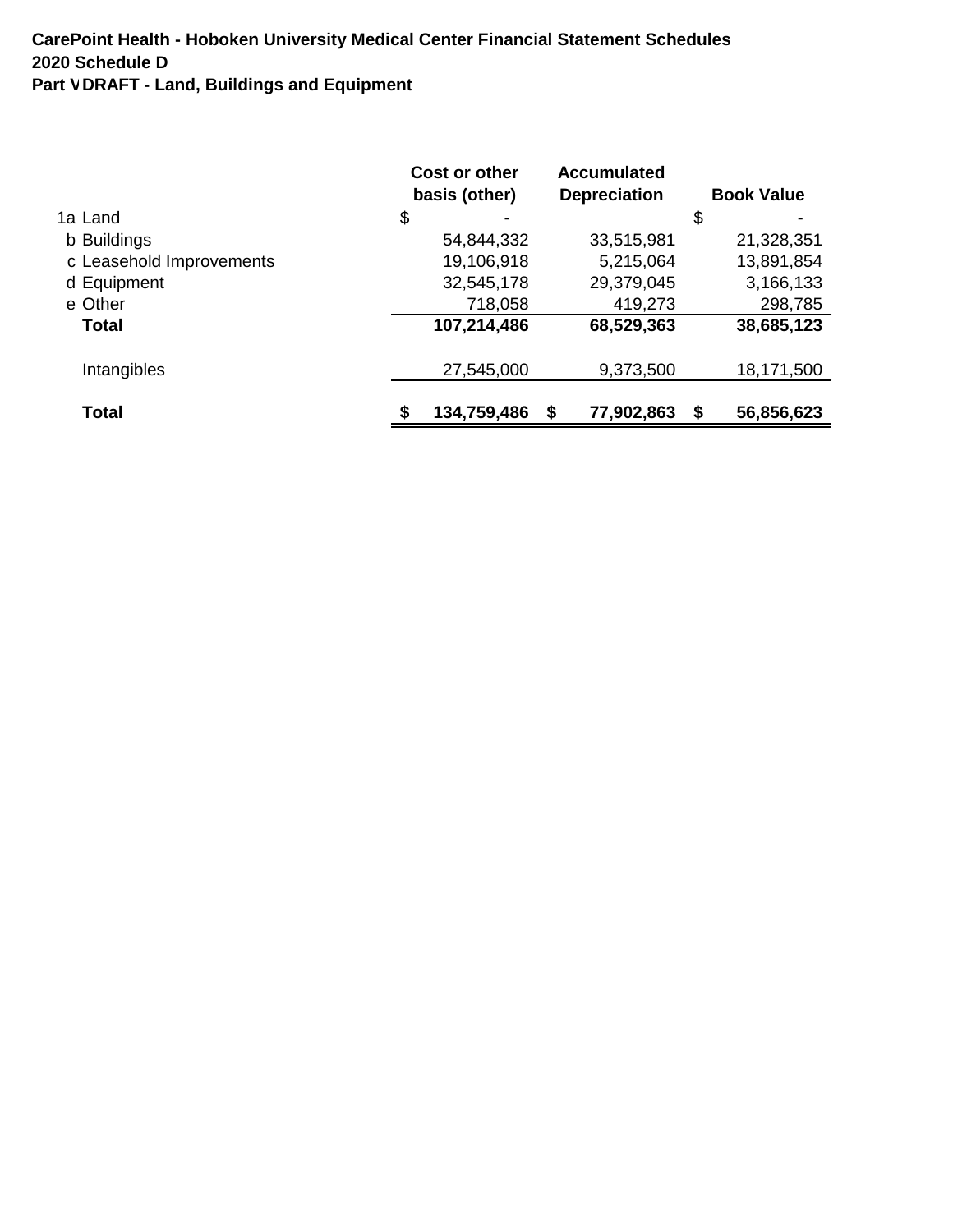|                          | Cost or other | <b>Accumulated</b>  |                   |
|--------------------------|---------------|---------------------|-------------------|
|                          | basis (other) | <b>Depreciation</b> | <b>Book Value</b> |
| 1a Land                  | \$            |                     | \$                |
| b Buildings              | 54,844,332    | 33,515,981          | 21,328,351        |
| c Leasehold Improvements | 19,106,918    | 5,215,064           | 13,891,854        |
| d Equipment              | 32,545,178    | 29,379,045          | 3,166,133         |
| e Other                  | 718,058       | 419,273             | 298,785           |
| Total                    | 107,214,486   | 68,529,363          | 38,685,123        |
| Intangibles              | 27,545,000    | 9,373,500           | 18,171,500        |
| Total                    | 134,759,486   | 77,902,863<br>S     | 56,856,623<br>S   |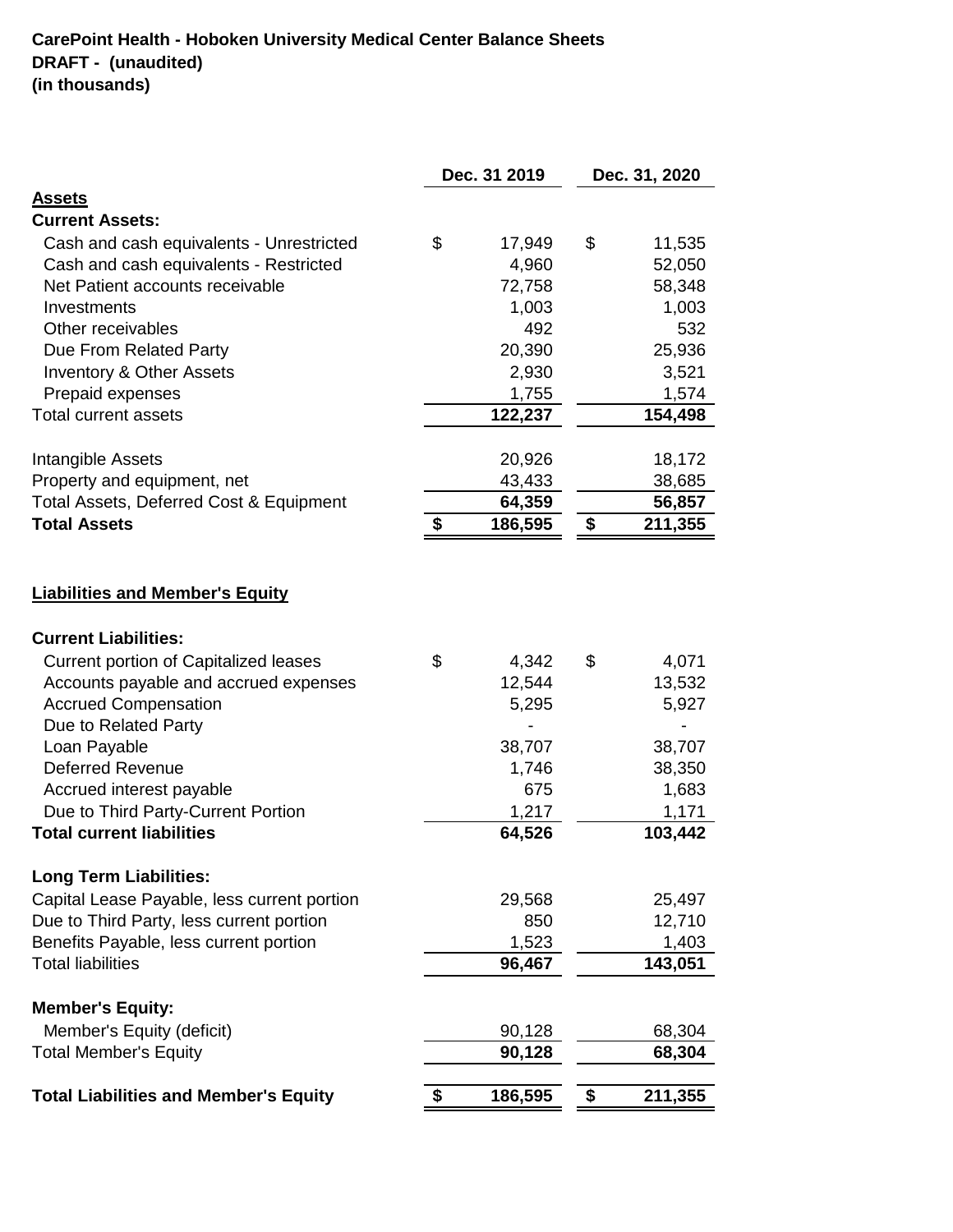|                                                                                                                                                                                                                                                                                              | Dec. 31 2019 |                                                    | Dec. 31, 2020 |                                                       |
|----------------------------------------------------------------------------------------------------------------------------------------------------------------------------------------------------------------------------------------------------------------------------------------------|--------------|----------------------------------------------------|---------------|-------------------------------------------------------|
| <b>Assets</b>                                                                                                                                                                                                                                                                                |              |                                                    |               |                                                       |
| <b>Current Assets:</b>                                                                                                                                                                                                                                                                       |              |                                                    |               |                                                       |
| Cash and cash equivalents - Unrestricted                                                                                                                                                                                                                                                     | \$           | 17,949                                             | \$            | 11,535                                                |
| Cash and cash equivalents - Restricted                                                                                                                                                                                                                                                       |              | 4,960                                              |               | 52,050                                                |
| Net Patient accounts receivable                                                                                                                                                                                                                                                              |              | 72,758                                             |               | 58,348                                                |
| Investments                                                                                                                                                                                                                                                                                  |              | 1,003                                              |               | 1,003                                                 |
| Other receivables                                                                                                                                                                                                                                                                            |              | 492                                                |               | 532                                                   |
| Due From Related Party                                                                                                                                                                                                                                                                       |              | 20,390                                             |               | 25,936                                                |
| <b>Inventory &amp; Other Assets</b>                                                                                                                                                                                                                                                          |              | 2,930                                              |               | 3,521                                                 |
| Prepaid expenses                                                                                                                                                                                                                                                                             |              | 1,755                                              |               | 1,574                                                 |
| <b>Total current assets</b>                                                                                                                                                                                                                                                                  |              | 122,237                                            |               | 154,498                                               |
| Intangible Assets                                                                                                                                                                                                                                                                            |              | 20,926                                             |               | 18,172                                                |
| Property and equipment, net                                                                                                                                                                                                                                                                  |              | 43,433                                             |               | 38,685                                                |
| Total Assets, Deferred Cost & Equipment                                                                                                                                                                                                                                                      |              | 64,359                                             |               | 56,857                                                |
| <b>Total Assets</b>                                                                                                                                                                                                                                                                          | \$           | 186,595                                            | \$            | 211,355                                               |
|                                                                                                                                                                                                                                                                                              |              |                                                    |               |                                                       |
| <b>Liabilities and Member's Equity</b><br><b>Current Liabilities:</b><br><b>Current portion of Capitalized leases</b><br>Accounts payable and accrued expenses<br><b>Accrued Compensation</b><br>Due to Related Party<br>Loan Payable<br><b>Deferred Revenue</b><br>Accrued interest payable | \$           | 4,342<br>12,544<br>5,295<br>38,707<br>1,746<br>675 | \$            | 4,071<br>13,532<br>5,927<br>38,707<br>38,350<br>1,683 |
| Due to Third Party-Current Portion                                                                                                                                                                                                                                                           |              | 1,217                                              |               | 1,171                                                 |
| <b>Total current liabilities</b>                                                                                                                                                                                                                                                             |              | 64,526                                             |               | 103,442                                               |
| <b>Long Term Liabilities:</b><br>Capital Lease Payable, less current portion                                                                                                                                                                                                                 |              | 29,568                                             |               | 25,497                                                |
|                                                                                                                                                                                                                                                                                              |              | 850                                                |               | 12,710                                                |
| Due to Third Party, less current portion<br>Benefits Payable, less current portion                                                                                                                                                                                                           |              |                                                    |               | 1,403                                                 |
| <b>Total liabilities</b>                                                                                                                                                                                                                                                                     |              | 1,523<br>96,467                                    |               | 143,051                                               |
|                                                                                                                                                                                                                                                                                              |              |                                                    |               |                                                       |
| <b>Member's Equity:</b><br>Member's Equity (deficit)                                                                                                                                                                                                                                         |              | 90,128                                             |               | 68,304                                                |
| <b>Total Member's Equity</b>                                                                                                                                                                                                                                                                 |              | 90,128                                             |               | 68,304                                                |
|                                                                                                                                                                                                                                                                                              |              |                                                    |               |                                                       |
| <b>Total Liabilities and Member's Equity</b>                                                                                                                                                                                                                                                 |              | 186,595                                            | \$            | 211,355                                               |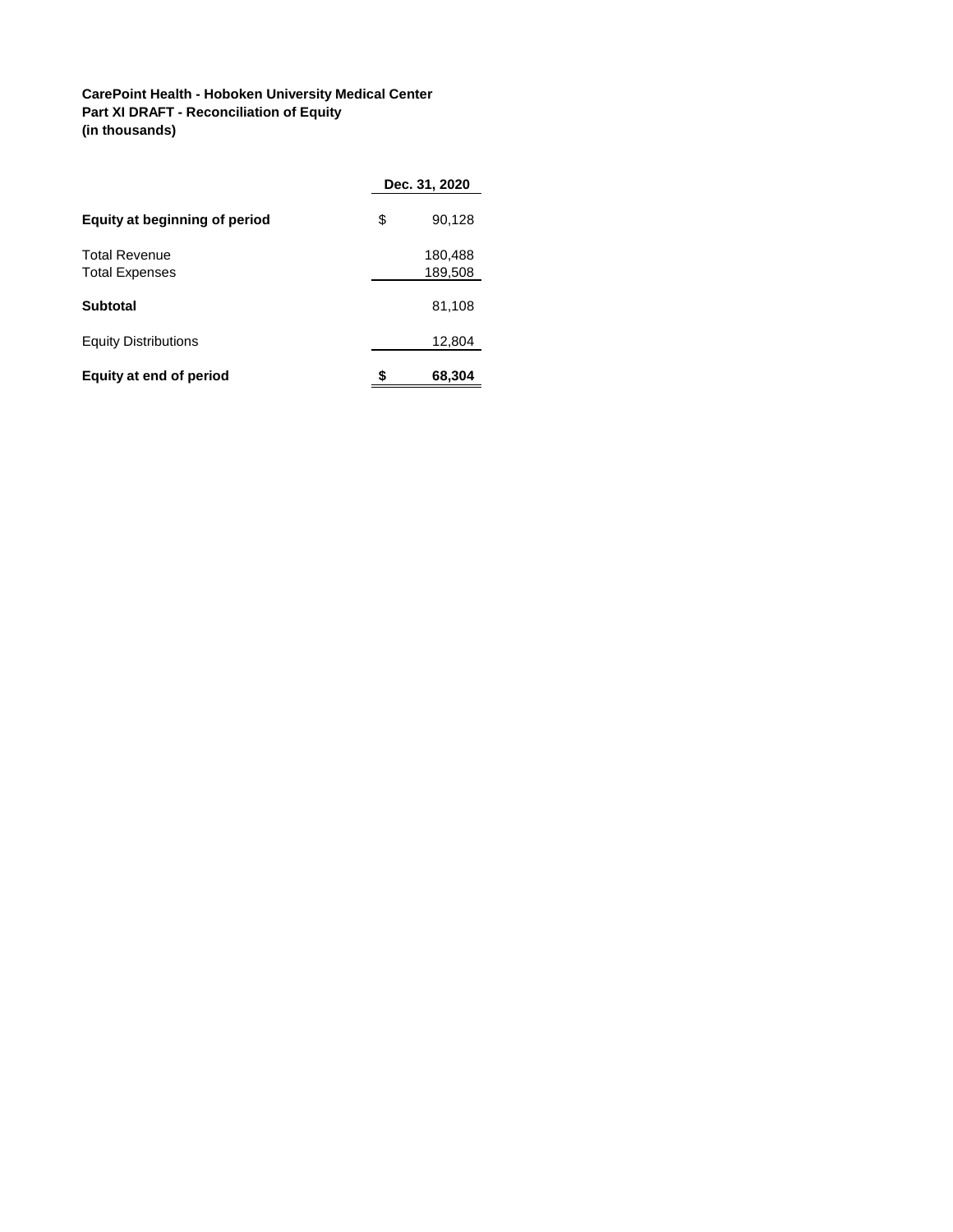## **CarePoint Health - Hoboken University Medical Center Part XI DRAFT - Reconciliation of Equity (in thousands)**

|                                               |    | Dec. 31, 2020      |
|-----------------------------------------------|----|--------------------|
| Equity at beginning of period                 | \$ | 90,128             |
| <b>Total Revenue</b><br><b>Total Expenses</b> |    | 180,488<br>189,508 |
| <b>Subtotal</b>                               |    | 81,108             |
| <b>Equity Distributions</b>                   |    | 12,804             |
| Equity at end of period                       | S  | 68,304             |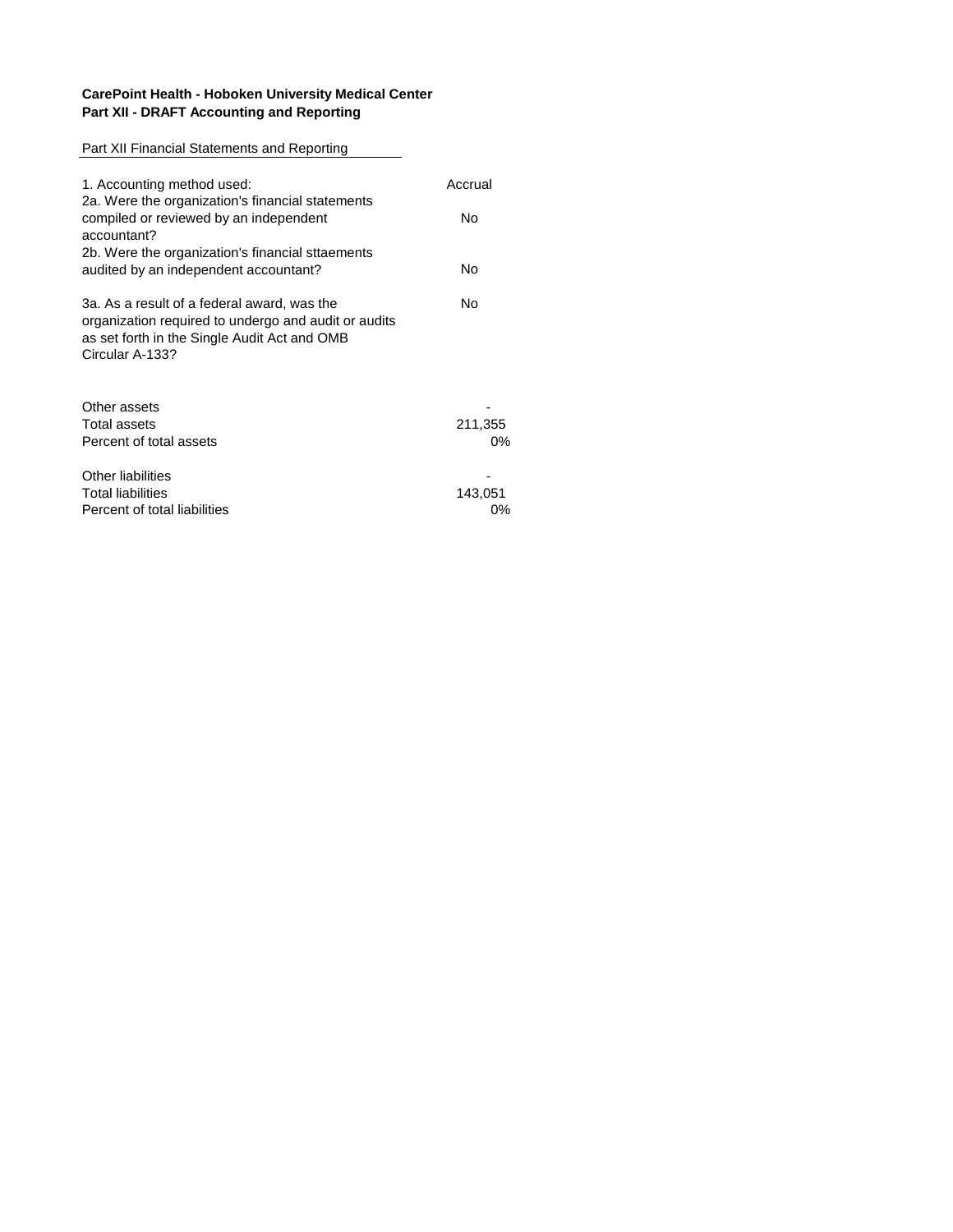## **CarePoint Health - Hoboken University Medical Center Part XII - DRAFT Accounting and Reporting**

## Part XII Financial Statements and Reporting

| 1. Accounting method used:                                                                                                                                             | Accrual |
|------------------------------------------------------------------------------------------------------------------------------------------------------------------------|---------|
| 2a. Were the organization's financial statements<br>compiled or reviewed by an independent<br>accountant?                                                              | No      |
| 2b. Were the organization's financial sttaements<br>audited by an independent accountant?                                                                              | No      |
| 3a. As a result of a federal award, was the<br>organization required to undergo and audit or audits<br>as set forth in the Single Audit Act and OMB<br>Circular A-133? | No      |
| Other assets<br>Total assets                                                                                                                                           | 211,355 |
| Percent of total assets                                                                                                                                                | 0%      |
| Other liabilities                                                                                                                                                      |         |
| <b>Total liabilities</b>                                                                                                                                               | 143,051 |
| Percent of total liabilities                                                                                                                                           | $0\%$   |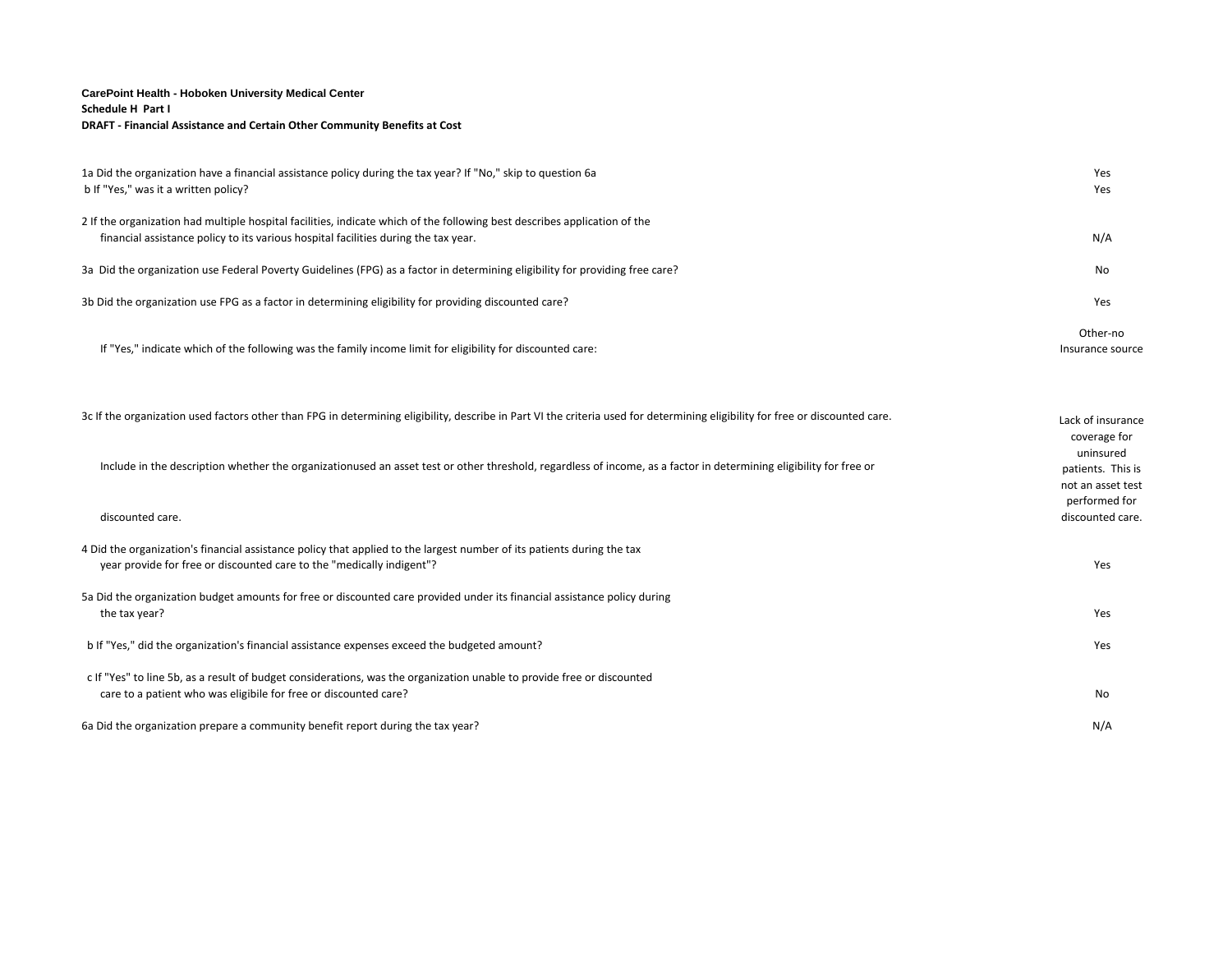#### **CarePoint Health - Hoboken University Medical Center Schedule H Part I DRAFT - Financial Assistance and Certain Other Community Benefits at Cost**

| 1a Did the organization have a financial assistance policy during the tax year? If "No," skip to question 6a<br>b If "Yes," was it a written policy?                                                             | Yes<br>Yes                                          |
|------------------------------------------------------------------------------------------------------------------------------------------------------------------------------------------------------------------|-----------------------------------------------------|
| 2 If the organization had multiple hospital facilities, indicate which of the following best describes application of the<br>financial assistance policy to its various hospital facilities during the tax year. | N/A                                                 |
| 3a Did the organization use Federal Poverty Guidelines (FPG) as a factor in determining eligibility for providing free care?                                                                                     | No                                                  |
| 3b Did the organization use FPG as a factor in determining eligibility for providing discounted care?                                                                                                            | Yes                                                 |
| If "Yes," indicate which of the following was the family income limit for eligibility for discounted care:                                                                                                       | Other-no<br>Insurance source                        |
| 3c If the organization used factors other than FPG in determining eligibility, describe in Part VI the criteria used for determining eligibility for free or discounted care.                                    | Lack of insurance<br>coverage for                   |
| Include in the description whether the organizationused an asset test or other threshold, regardless of income, as a factor in determining eligibility for free or                                               | uninsured<br>patients. This is<br>not an asset test |
| discounted care.                                                                                                                                                                                                 | performed for<br>discounted care.                   |
| 4 Did the organization's financial assistance policy that applied to the largest number of its patients during the tax<br>year provide for free or discounted care to the "medically indigent"?                  | Yes                                                 |
| 5a Did the organization budget amounts for free or discounted care provided under its financial assistance policy during<br>the tax year?                                                                        | Yes                                                 |
| b If "Yes," did the organization's financial assistance expenses exceed the budgeted amount?                                                                                                                     | Yes                                                 |
| c If "Yes" to line 5b, as a result of budget considerations, was the organization unable to provide free or discounted<br>care to a patient who was eligibile for free or discounted care?                       | No                                                  |
| 6a Did the organization prepare a community benefit report during the tax year?                                                                                                                                  | N/A                                                 |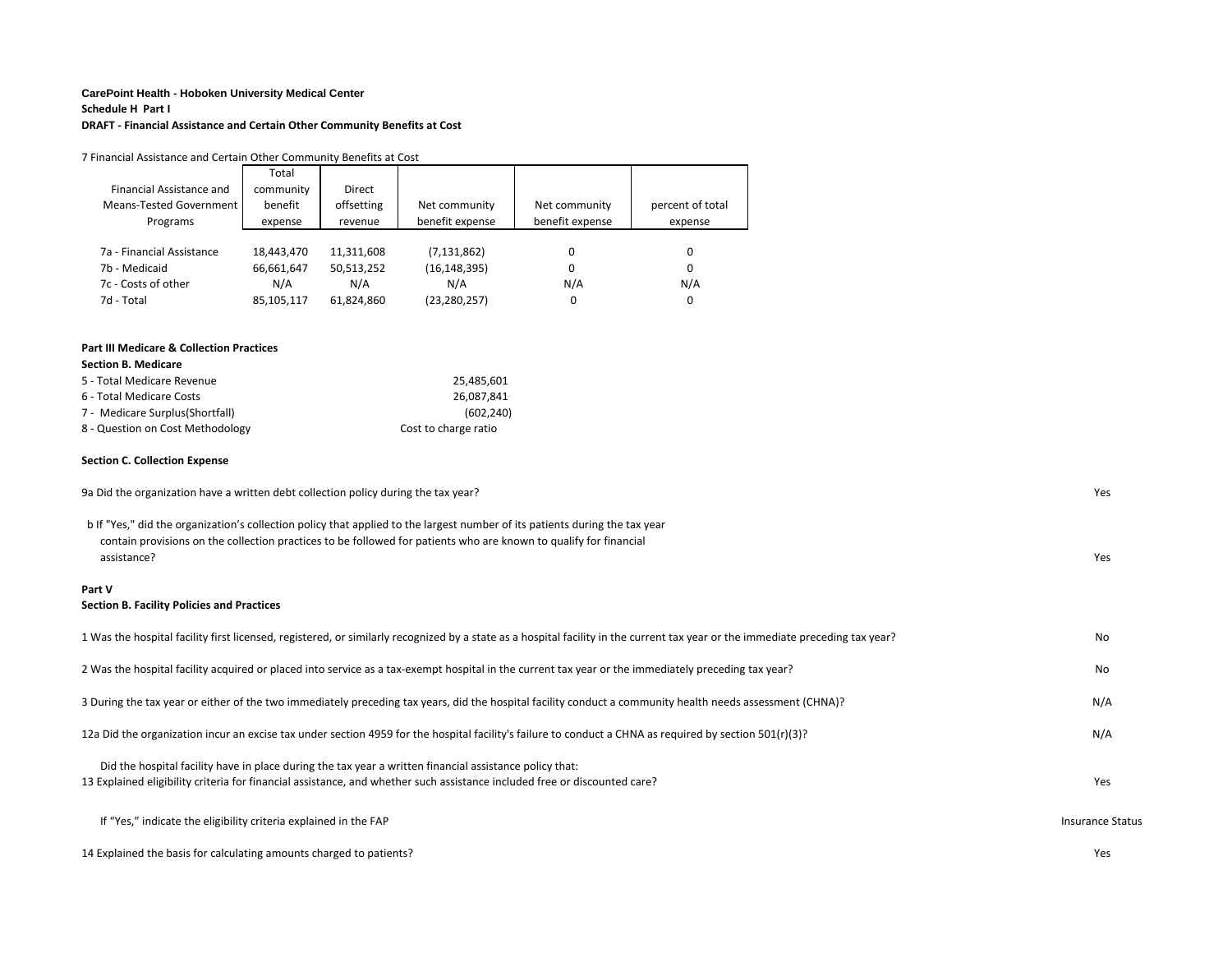#### **CarePoint Health - Hoboken University Medical Center**

#### **Schedule H Part I**

**DRAFT - Financial Assistance and Certain Other Community Benefits at Cost**

| 7 Financial Assistance and Certain Other Community Benefits at Cost                |            |            |                      |                 |                  |
|------------------------------------------------------------------------------------|------------|------------|----------------------|-----------------|------------------|
|                                                                                    | Total      |            |                      |                 |                  |
| Financial Assistance and                                                           | community  | Direct     |                      |                 |                  |
| <b>Means-Tested Government</b>                                                     | benefit    | offsetting | Net community        | Net community   | percent of total |
| Programs                                                                           | expense    | revenue    | benefit expense      | benefit expense | expense          |
|                                                                                    |            |            |                      |                 |                  |
| 7a - Financial Assistance                                                          | 18,443,470 | 11,311,608 | (7, 131, 862)        | 0               | $\mathbf 0$      |
| 7b - Medicaid                                                                      | 66,661,647 | 50,513,252 | (16, 148, 395)       | $\Omega$        | $\mathbf 0$      |
| 7c - Costs of other                                                                | N/A        | N/A        | N/A                  | N/A             | N/A              |
| 7d - Total                                                                         | 85,105,117 | 61,824,860 | (23, 280, 257)       | 0               | 0                |
|                                                                                    |            |            |                      |                 |                  |
| <b>Part III Medicare &amp; Collection Practices</b>                                |            |            |                      |                 |                  |
| <b>Section B. Medicare</b>                                                         |            |            |                      |                 |                  |
| 5 - Total Medicare Revenue                                                         |            |            | 25,485,601           |                 |                  |
| 6 - Total Medicare Costs                                                           |            |            | 26,087,841           |                 |                  |
| 7 - Medicare Surplus(Shortfall)                                                    |            |            | (602, 240)           |                 |                  |
| 8 - Question on Cost Methodology                                                   |            |            | Cost to charge ratio |                 |                  |
|                                                                                    |            |            |                      |                 |                  |
| <b>Section C. Collection Expense</b>                                               |            |            |                      |                 |                  |
| 9a Did the organization have a written debt collection policy during the tax year? |            |            |                      |                 |                  |
|                                                                                    |            |            |                      |                 |                  |

 b If "Yes," did the organization's collection policy that applied to the largest number of its patients during the tax year contain provisions on the collection practices to be followed for patients who are known to qualify for financial assistance? Yes

#### **Part V**

#### **Section B. Facility Policies and Practices**

| 1 Was the hospital facility first licensed, registered, or similarly recognized by a state as a hospital facility in the current tax year or the immediate preceding tax year?                                                       | No                      |
|--------------------------------------------------------------------------------------------------------------------------------------------------------------------------------------------------------------------------------------|-------------------------|
| 2 Was the hospital facility acquired or placed into service as a tax-exempt hospital in the current tax year or the immediately preceding tax year?                                                                                  | No                      |
| 3 During the tax year or either of the two immediately preceding tax years, did the hospital facility conduct a community health needs assessment (CHNA)?                                                                            | N/A                     |
| 12a Did the organization incur an excise tax under section 4959 for the hospital facility's failure to conduct a CHNA as required by section 501(r)(3)?                                                                              | N/A                     |
| Did the hospital facility have in place during the tax year a written financial assistance policy that:<br>13 Explained eligibility criteria for financial assistance, and whether such assistance included free or discounted care? | Yes                     |
| If "Yes," indicate the eligibility criteria explained in the FAP                                                                                                                                                                     | <b>Insurance Status</b> |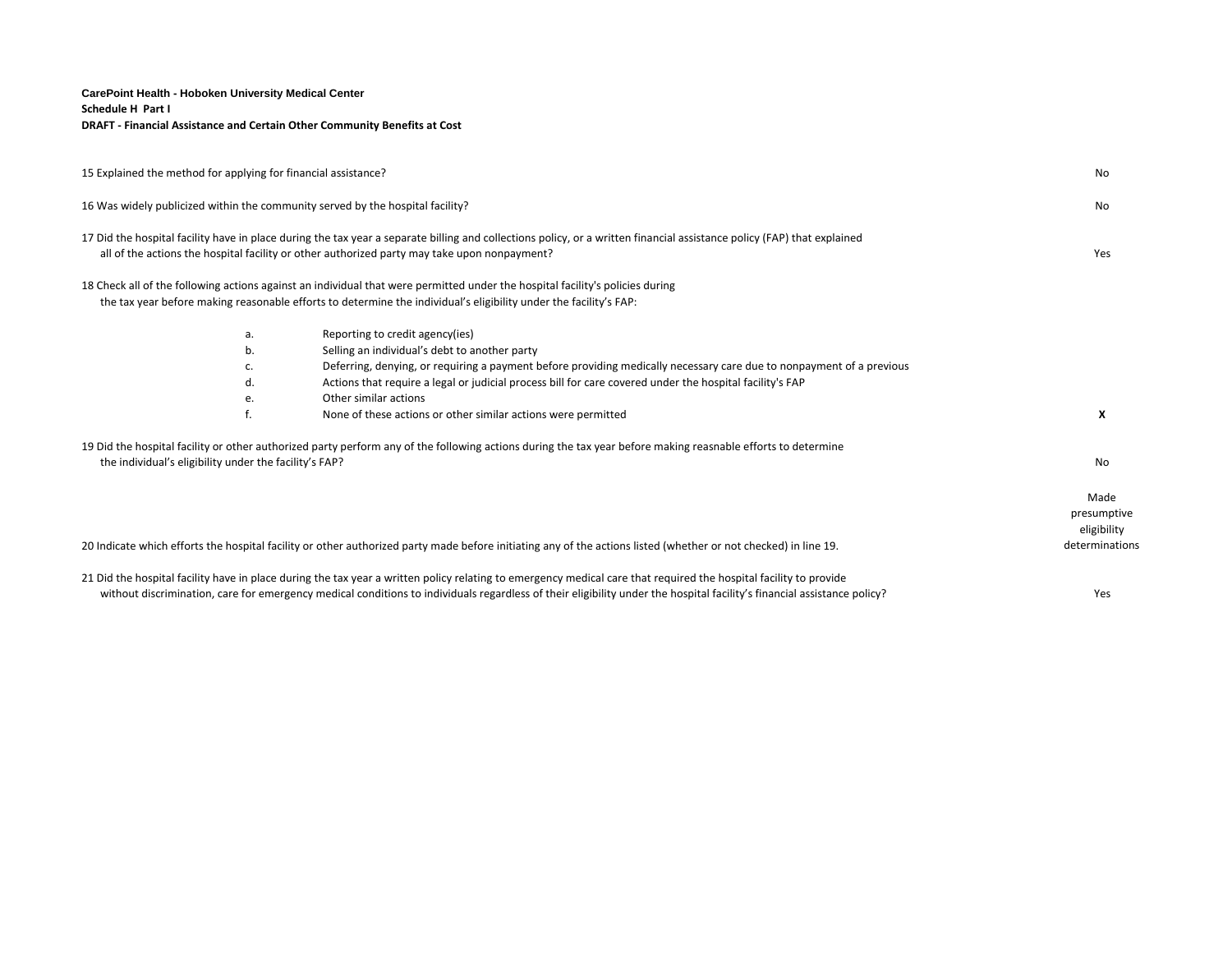#### **CarePoint Health - Hoboken University Medical Center Schedule H Part I DRAFT - Financial Assistance and Certain Other Community Benefits at Cost**

| 15 Explained the method for applying for financial assistance?                                                                                                                                                                                                                                                                                            |                                                        |                                                                                                                                                                                                                                                                                                                                              |                                    |
|-----------------------------------------------------------------------------------------------------------------------------------------------------------------------------------------------------------------------------------------------------------------------------------------------------------------------------------------------------------|--------------------------------------------------------|----------------------------------------------------------------------------------------------------------------------------------------------------------------------------------------------------------------------------------------------------------------------------------------------------------------------------------------------|------------------------------------|
| 16 Was widely publicized within the community served by the hospital facility?<br>17 Did the hospital facility have in place during the tax year a separate billing and collections policy, or a written financial assistance policy (FAP) that explained<br>all of the actions the hospital facility or other authorized party may take upon nonpayment? |                                                        |                                                                                                                                                                                                                                                                                                                                              |                                    |
|                                                                                                                                                                                                                                                                                                                                                           |                                                        |                                                                                                                                                                                                                                                                                                                                              |                                    |
|                                                                                                                                                                                                                                                                                                                                                           | a.                                                     | Reporting to credit agency(ies)                                                                                                                                                                                                                                                                                                              |                                    |
|                                                                                                                                                                                                                                                                                                                                                           | b.                                                     | Selling an individual's debt to another party                                                                                                                                                                                                                                                                                                |                                    |
|                                                                                                                                                                                                                                                                                                                                                           | c.                                                     | Deferring, denying, or requiring a payment before providing medically necessary care due to nonpayment of a previous                                                                                                                                                                                                                         |                                    |
|                                                                                                                                                                                                                                                                                                                                                           | d.                                                     | Actions that require a legal or judicial process bill for care covered under the hospital facility's FAP                                                                                                                                                                                                                                     |                                    |
|                                                                                                                                                                                                                                                                                                                                                           | е.                                                     | Other similar actions                                                                                                                                                                                                                                                                                                                        |                                    |
|                                                                                                                                                                                                                                                                                                                                                           | f.                                                     | None of these actions or other similar actions were permitted                                                                                                                                                                                                                                                                                | X                                  |
|                                                                                                                                                                                                                                                                                                                                                           |                                                        | 19 Did the hospital facility or other authorized party perform any of the following actions during the tax year before making reasnable efforts to determine                                                                                                                                                                                 |                                    |
|                                                                                                                                                                                                                                                                                                                                                           | the individual's eligibility under the facility's FAP? |                                                                                                                                                                                                                                                                                                                                              | No                                 |
|                                                                                                                                                                                                                                                                                                                                                           |                                                        |                                                                                                                                                                                                                                                                                                                                              | Made<br>presumptive<br>eligibility |
|                                                                                                                                                                                                                                                                                                                                                           |                                                        | 20 Indicate which efforts the hospital facility or other authorized party made before initiating any of the actions listed (whether or not checked) in line 19.                                                                                                                                                                              | determinations                     |
|                                                                                                                                                                                                                                                                                                                                                           |                                                        | 21 Did the hospital facility have in place during the tax year a written policy relating to emergency medical care that required the hospital facility to provide<br>without discrimination, care for emergency medical conditions to individuals regardless of their eligibility under the hospital facility's financial assistance policy? | Yes                                |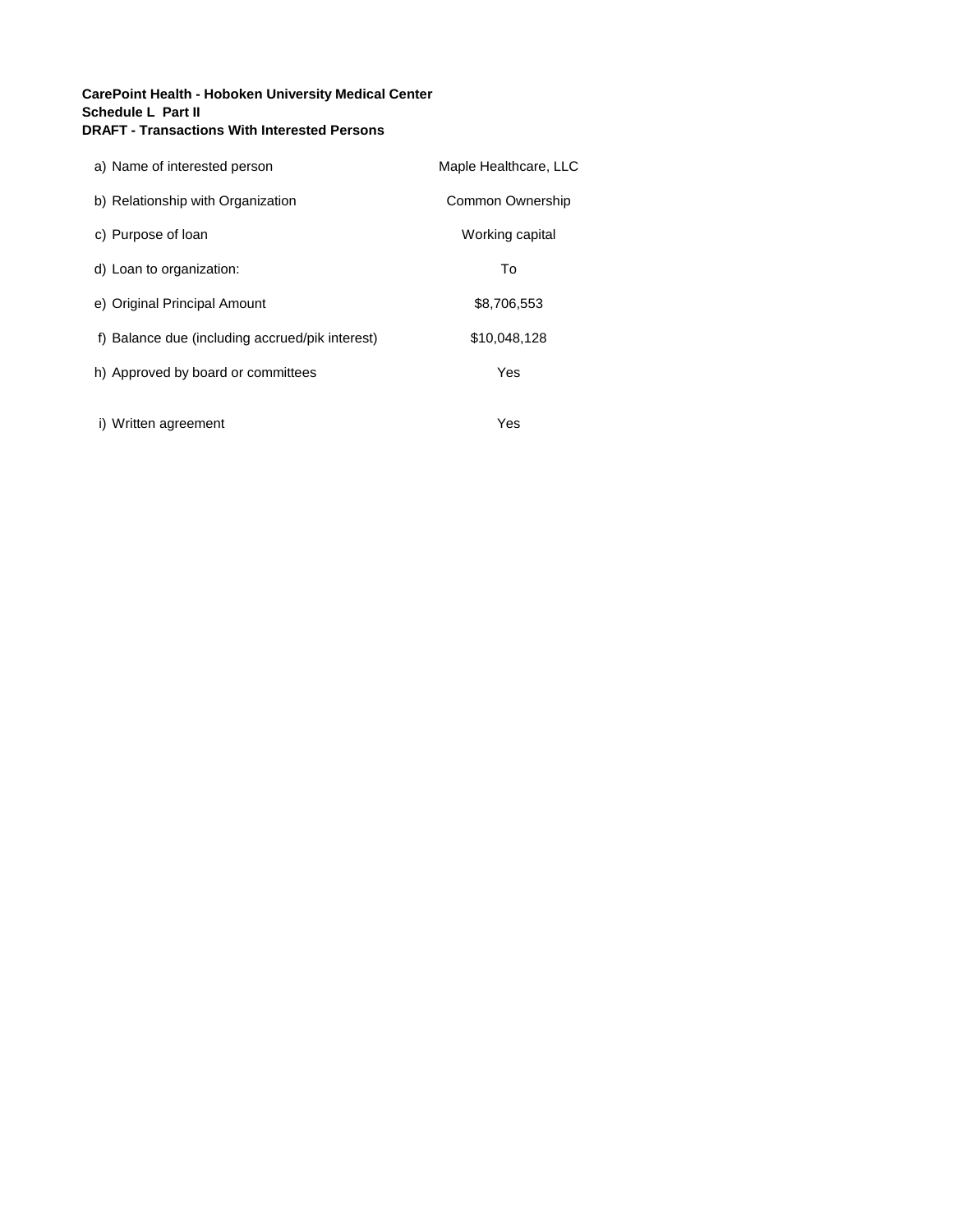## **CarePoint Health - Hoboken University Medical Center Schedule L Part II DRAFT - Transactions With Interested Persons**

| a) Name of interested person                    | Maple Healthcare, LLC |
|-------------------------------------------------|-----------------------|
| b) Relationship with Organization               | Common Ownership      |
| c) Purpose of loan                              | Working capital       |
| d) Loan to organization:                        | To                    |
| e) Original Principal Amount                    | \$8.706.553           |
| f) Balance due (including accrued/pik interest) | \$10,048,128          |
| h) Approved by board or committees              | Yes                   |
| i) Written agreement                            | Yes                   |